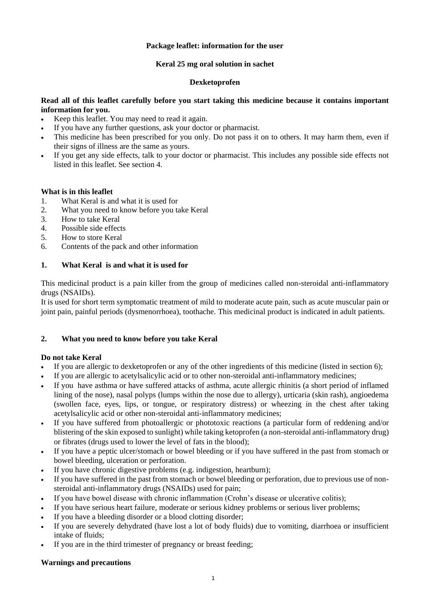## **Package leaflet: information for the user**

## **Keral 25 mg oral solution in sachet**

## **Dexketoprofen**

## **Read all of this leaflet carefully before you start taking this medicine because it contains important information for you.**

- Keep this leaflet. You may need to read it again.
- If you have any further questions, ask your doctor or pharmacist.
- This medicine has been prescribed for you only. Do not pass it on to others. It may harm them, even if their signs of illness are the same as yours.
- If you get any side effects, talk to your doctor or pharmacist. This includes any possible side effects not listed in this leaflet. See section 4.

## **What is in this leaflet**

- 1. What Keral is and what it is used for
- 2. What you need to know before you take Keral
- 3. How to take Keral
- 4. Possible side effects
- 5. How to store Keral
- 6. Contents of the pack and other information

# **1. What Keral is and what it is used for**

This medicinal product is a pain killer from the group of medicines called non-steroidal anti-inflammatory drugs (NSAIDs).

It is used for short term symptomatic treatment of mild to moderate acute pain, such as acute muscular pain or joint pain, painful periods (dysmenorrhoea), toothache. This medicinal product is indicated in adult patients.

# **2. What you need to know before you take Keral**

#### **Do not take Keral**

- If you are allergic to dexketoprofen or any of the other ingredients of this medicine (listed in section 6);
- If you are allergic to acetylsalicylic acid or to other non-steroidal anti-inflammatory medicines;
- If you have asthma or have suffered attacks of asthma, acute allergic rhinitis (a short period of inflamed lining of the nose), nasal polyps (lumps within the nose due to allergy), urticaria (skin rash), angioedema (swollen face, eyes, lips, or tongue, or respiratory distress) or wheezing in the chest after taking acetylsalicylic acid or other non-steroidal anti-inflammatory medicines;
- If you have suffered from photoallergic or phototoxic reactions (a particular form of reddening and/or blistering of the skin exposed to sunlight) while taking ketoprofen (a non-steroidal anti-inflammatory drug) or fibrates (drugs used to lower the level of fats in the blood);
- If you have a peptic ulcer/stomach or bowel bleeding or if you have suffered in the past from stomach or bowel bleeding, ulceration or perforation.
- If you have chronic digestive problems (e.g. indigestion, heartburn);
- If you have suffered in the past from stomach or bowel bleeding or perforation, due to previous use of nonsteroidal anti-inflammatory drugs (NSAIDs) used for pain;
- If you have bowel disease with chronic inflammation (Crohn's disease or ulcerative colitis);
- If you have serious heart failure, moderate or serious kidney problems or serious liver problems;
- If you have a bleeding disorder or a blood clotting disorder;
- If you are severely dehydrated (have lost a lot of body fluids) due to vomiting, diarrhoea or insufficient intake of fluids;
- If you are in the third trimester of pregnancy or breast feeding;

#### **Warnings and precautions**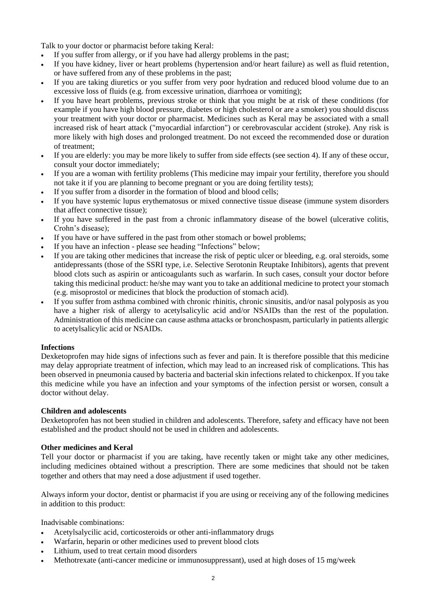Talk to your doctor or pharmacist before taking Keral:

- If you suffer from allergy, or if you have had allergy problems in the past;
- If you have kidney, liver or heart problems (hypertension and/or heart failure) as well as fluid retention, or have suffered from any of these problems in the past;
- If you are taking diuretics or you suffer from very poor hydration and reduced blood volume due to an excessive loss of fluids (e.g. from excessive urination, diarrhoea or vomiting);
- If you have heart problems, previous stroke or think that you might be at risk of these conditions (for example if you have high blood pressure, diabetes or high cholesterol or are a smoker) you should discuss your treatment with your doctor or pharmacist. Medicines such as Keral may be associated with a small increased risk of heart attack ("myocardial infarction") or cerebrovascular accident (stroke). Any risk is more likely with high doses and prolonged treatment. Do not exceed the recommended dose or duration of treatment;
- If you are elderly: you may be more likely to suffer from side effects (see section 4). If any of these occur, consult your doctor immediately;
- If you are a woman with fertility problems (This medicine may impair your fertility, therefore you should not take it if you are planning to become pregnant or you are doing fertility tests);
- If you suffer from a disorder in the formation of blood and blood cells;
- If you have systemic lupus erythematosus or mixed connective tissue disease (immune system disorders that affect connective tissue);
- If you have suffered in the past from a chronic inflammatory disease of the bowel (ulcerative colitis, Crohn's disease);
- If you have or have suffered in the past from other stomach or bowel problems;
- If you have an infection please see heading "Infections" below;
- If you are taking other medicines that increase the risk of peptic ulcer or bleeding, e.g. oral steroids, some antidepressants (those of the SSRI type, i.e. Selective Serotonin Reuptake Inhibitors), agents that prevent blood clots such as aspirin or anticoagulants such as warfarin. In such cases, consult your doctor before taking this medicinal product: he/she may want you to take an additional medicine to protect your stomach (e.g. misoprostol or medicines that block the production of stomach acid).
- If you suffer from asthma combined with chronic rhinitis, chronic sinusitis, and/or nasal polyposis as you have a higher risk of allergy to acetylsalicylic acid and/or NSAIDs than the rest of the population. Administration of this medicine can cause asthma attacks or bronchospasm, particularly in patients allergic to acetylsalicylic acid or NSAIDs.

#### **Infections**

Dexketoprofen may hide signs of infections such as fever and pain. It is therefore possible that this medicine may delay appropriate treatment of infection, which may lead to an increased risk of complications. This has been observed in pneumonia caused by bacteria and bacterial skin infections related to chickenpox. If you take this medicine while you have an infection and your symptoms of the infection persist or worsen, consult a doctor without delay.

#### **Children and adolescents**

Dexketoprofen has not been studied in children and adolescents. Therefore, safety and efficacy have not been established and the product should not be used in children and adolescents.

#### **Other medicines and Keral**

Tell your doctor or pharmacist if you are taking, have recently taken or might take any other medicines, including medicines obtained without a prescription. There are some medicines that should not be taken together and others that may need a dose adjustment if used together.

Always inform your doctor, dentist or pharmacist if you are using or receiving any of the following medicines in addition to this product:

Inadvisable combinations:

- Acetylsalycilic acid, corticosteroids or other anti-inflammatory drugs
- Warfarin, heparin or other medicines used to prevent blood clots
- Lithium, used to treat certain mood disorders
- Methotrexate (anti-cancer medicine or immunosuppressant), used at high doses of 15 mg/week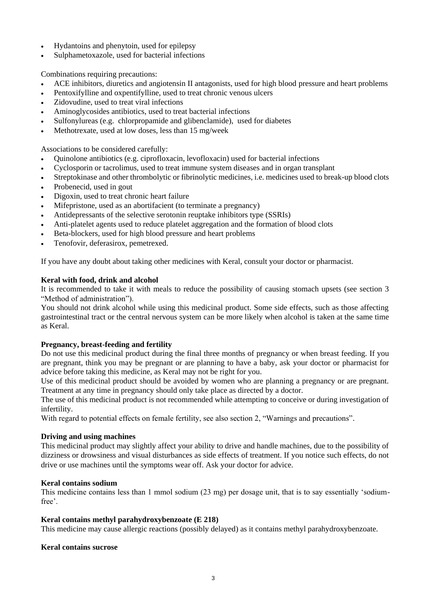- Hydantoins and phenytoin, used for epilepsy
- Sulphametoxazole, used for bacterial infections

Combinations requiring precautions:

- ACE inhibitors, diuretics and angiotensin II antagonists, used for high blood pressure and heart problems
- Pentoxifylline and oxpentifylline, used to treat chronic venous ulcers
- Zidovudine, used to treat viral infections
- Aminoglycosides antibiotics, used to treat bacterial infections
- Sulfonylureas (e.g. chlorpropamide and glibenclamide), used for diabetes
- Methotrexate, used at low doses, less than 15 mg/week

Associations to be considered carefully:

- Quinolone antibiotics (e.g. ciprofloxacin, levofloxacin) used for bacterial infections
- Cyclosporin or tacrolimus, used to treat immune system diseases and in organ transplant
- Streptokinase and other thrombolytic or fibrinolytic medicines, i.e. medicines used to break-up blood clots
- Probenecid, used in gout
- Digoxin, used to treat chronic heart failure
- Mifepristone, used as an abortifacient (to terminate a pregnancy)
- Antidepressants of the selective serotonin reuptake inhibitors type (SSRIs)
- Anti-platelet agents used to reduce platelet aggregation and the formation of blood clots
- Beta-blockers, used for high blood pressure and heart problems
- Tenofovir, deferasirox, pemetrexed.

If you have any doubt about taking other medicines with Keral, consult your doctor or pharmacist.

## **Keral with food, drink and alcohol**

It is recommended to take it with meals to reduce the possibility of causing stomach upsets (see section 3 "Method of administration").

You should not drink alcohol while using this medicinal product. Some side effects, such as those affecting gastrointestinal tract or the central nervous system can be more likely when alcohol is taken at the same time as Keral.

#### **Pregnancy, breast-feeding and fertility**

Do not use this medicinal product during the final three months of pregnancy or when breast feeding. If you are pregnant, think you may be pregnant or are planning to have a baby, ask your doctor or pharmacist for advice before taking this medicine, as Keral may not be right for you.

Use of this medicinal product should be avoided by women who are planning a pregnancy or are pregnant. Treatment at any time in pregnancy should only take place as directed by a doctor.

The use of this medicinal product is not recommended while attempting to conceive or during investigation of infertility.

With regard to potential effects on female fertility, see also section 2, "Warnings and precautions".

#### **Driving and using machines**

This medicinal product may slightly affect your ability to drive and handle machines, due to the possibility of dizziness or drowsiness and visual disturbances as side effects of treatment. If you notice such effects, do not drive or use machines until the symptoms wear off. Ask your doctor for advice.

#### **Keral contains sodium**

This medicine contains less than 1 mmol sodium (23 mg) per dosage unit, that is to say essentially 'sodiumfree'.

#### **Keral contains methyl parahydroxybenzoate (E 218)**

This medicine may cause allergic reactions (possibly delayed) as it contains methyl parahydroxybenzoate.

#### **Keral contains sucrose**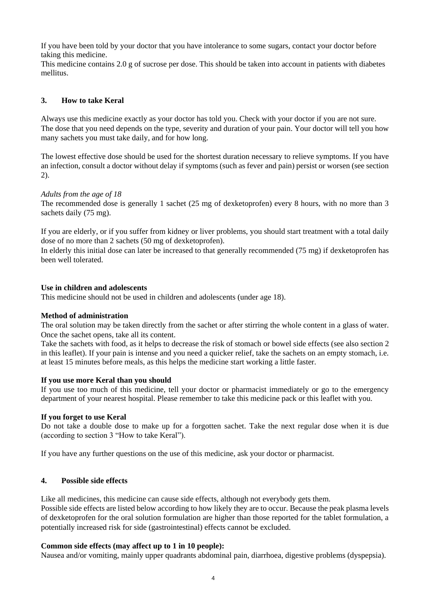If you have been told by your doctor that you have intolerance to some sugars, contact your doctor before taking this medicine.

This medicine contains 2.0 g of sucrose per dose. This should be taken into account in patients with diabetes mellitus.

# **3. How to take Keral**

Always use this medicine exactly as your doctor has told you. Check with your doctor if you are not sure. The dose that you need depends on the type, severity and duration of your pain. Your doctor will tell you how many sachets you must take daily, and for how long.

The lowest effective dose should be used for the shortest duration necessary to relieve symptoms. If you have an infection, consult a doctor without delay if symptoms (such as fever and pain) persist or worsen (see section 2).

## *Adults from the age of 18*

The recommended dose is generally 1 sachet (25 mg of dexketoprofen) every 8 hours, with no more than 3 sachets daily (75 mg).

If you are elderly, or if you suffer from kidney or liver problems, you should start treatment with a total daily dose of no more than 2 sachets (50 mg of dexketoprofen).

In elderly this initial dose can later be increased to that generally recommended (75 mg) if dexketoprofen has been well tolerated.

#### **Use in children and adolescents**

This medicine should not be used in children and adolescents (under age 18).

#### **Method of administration**

The oral solution may be taken directly from the sachet or after stirring the whole content in a glass of water. Once the sachet opens, take all its content.

Take the sachets with food, as it helps to decrease the risk of stomach or bowel side effects (see also section 2 in this leaflet). If your pain is intense and you need a quicker relief, take the sachets on an empty stomach, i.e. at least 15 minutes before meals, as this helps the medicine start working a little faster.

# **If you use more Keral than you should**

If you use too much of this medicine, tell your doctor or pharmacist immediately or go to the emergency department of your nearest hospital. Please remember to take this medicine pack or this leaflet with you.

#### **If you forget to use Keral**

Do not take a double dose to make up for a forgotten sachet. Take the next regular dose when it is due (according to section 3 "How to take Keral").

If you have any further questions on the use of this medicine, ask your doctor or pharmacist.

#### **4. Possible side effects**

Like all medicines, this medicine can cause side effects, although not everybody gets them.

Possible side effects are listed below according to how likely they are to occur. Because the peak plasma levels of dexketoprofen for the oral solution formulation are higher than those reported for the tablet formulation, a potentially increased risk for side (gastrointestinal) effects cannot be excluded.

#### **Common side effects (may affect up to 1 in 10 people):**

Nausea and/or vomiting, mainly upper quadrants abdominal pain, diarrhoea, digestive problems (dyspepsia).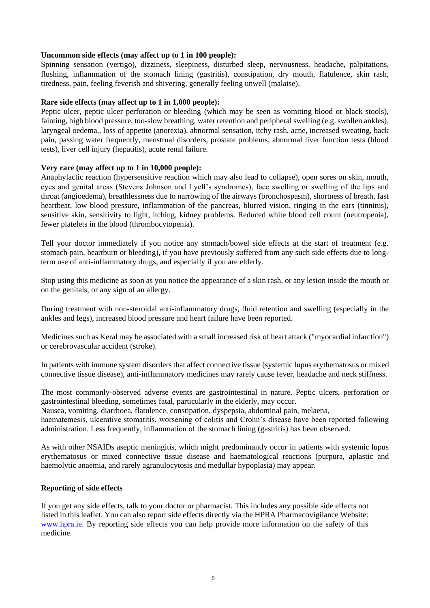#### **Uncommon side effects (may affect up to 1 in 100 people):**

Spinning sensation (vertigo), dizziness, sleepiness, disturbed sleep, nervousness, headache, palpitations, flushing, inflammation of the stomach lining (gastritis), constipation, dry mouth, flatulence, skin rash, tiredness, pain, feeling feverish and shivering, generally feeling unwell (malaise).

## **Rare side effects (may affect up to 1 in 1,000 people):**

Peptic ulcer, peptic ulcer perforation or bleeding (which may be seen as vomiting blood or black stools), fainting, high blood pressure, too-slow breathing, water retention and peripheral swelling (e.g. swollen ankles), laryngeal oedema,, loss of appetite (anorexia), abnormal sensation, itchy rash, acne, increased sweating, back pain, passing water frequently, menstrual disorders, prostate problems, abnormal liver function tests (blood tests), liver cell injury (hepatitis), acute renal failure.

## **Very rare (may affect up to 1 in 10,000 people):**

Anaphylactic reaction (hypersensitive reaction which may also lead to collapse), open sores on skin, mouth, eyes and genital areas (Stevens Johnson and Lyell's syndromes), face swelling or swelling of the lips and throat (angioedema), breathlessness due to narrowing of the airways (bronchospasm), shortness of breath, fast heartbeat, low blood pressure, inflammation of the pancreas, blurred vision, ringing in the ears (tinnitus), sensitive skin, sensitivity to light, itching, kidney problems. Reduced white blood cell count (neutropenia), fewer platelets in the blood (thrombocytopenia).

Tell your doctor immediately if you notice any stomach/bowel side effects at the start of treatment (e.g. stomach pain, heartburn or bleeding), if you have previously suffered from any such side effects due to longterm use of anti-inflammatory drugs, and especially if you are elderly.

Stop using this medicine as soon as you notice the appearance of a skin rash, or any lesion inside the mouth or on the genitals, or any sign of an allergy.

During treatment with non-steroidal anti-inflammatory drugs, fluid retention and swelling (especially in the ankles and legs), increased blood pressure and heart failure have been reported.

Medicines such as Keral may be associated with a small increased risk of heart attack ("myocardial infarction") or cerebrovascular accident (stroke).

In patients with immune system disorders that affect connective tissue (systemic lupus erythematosus or mixed connective tissue disease), anti-inflammatory medicines may rarely cause fever, headache and neck stiffness.

The most commonly-observed adverse events are gastrointestinal in nature. Peptic ulcers, perforation or gastrointestinal bleeding, sometimes fatal, particularly in the elderly, may occur.

Nausea, vomiting, diarrhoea, flatulence, constipation, dyspepsia, abdominal pain, melaena,

haematemesis, ulcerative stomatitis, worsening of colitis and Crohn's disease have been reported following administration. Less frequently, inflammation of the stomach lining (gastritis) has been observed.

As with other NSAIDs aseptic meningitis, which might predominantly occur in patients with systemic lupus erythematosus or mixed connective tissue disease and haematological reactions (purpura, aplastic and haemolytic anaemia, and rarely agranulocytosis and medullar hypoplasia) may appear.

#### **Reporting of side effects**

If you get any side effects, talk to your doctor or pharmacist. This includes any possible side effects not listed in this leaflet. You can also report side effects directly via the HPRA Pharmacovigilance Website: [www.hpra.ie.](http://www.hpra.ie/) By reporting side effects you can help provide more information on the safety of this medicine.